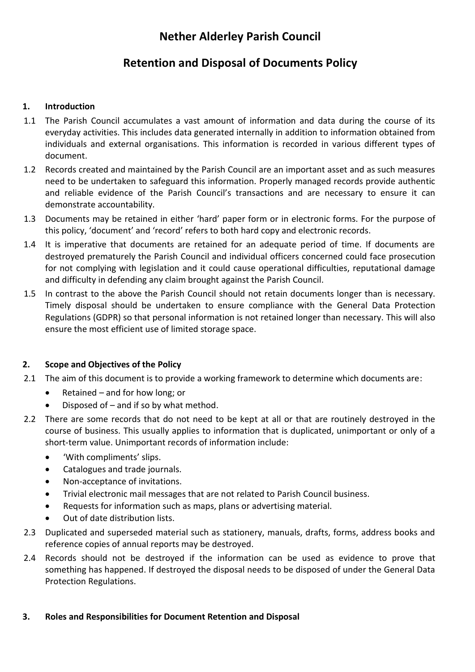## **Nether Alderley Parish Council**

### **Retention and Disposal of Documents Policy**

#### **1. Introduction**

- 1.1 The Parish Council accumulates a vast amount of information and data during the course of its everyday activities. This includes data generated internally in addition to information obtained from individuals and external organisations. This information is recorded in various different types of document.
- 1.2 Records created and maintained by the Parish Council are an important asset and as such measures need to be undertaken to safeguard this information. Properly managed records provide authentic and reliable evidence of the Parish Council's transactions and are necessary to ensure it can demonstrate accountability.
- 1.3 Documents may be retained in either 'hard' paper form or in electronic forms. For the purpose of this policy, 'document' and 'record' refers to both hard copy and electronic records.
- 1.4 It is imperative that documents are retained for an adequate period of time. If documents are destroyed prematurely the Parish Council and individual officers concerned could face prosecution for not complying with legislation and it could cause operational difficulties, reputational damage and difficulty in defending any claim brought against the Parish Council.
- 1.5 In contrast to the above the Parish Council should not retain documents longer than is necessary. Timely disposal should be undertaken to ensure compliance with the General Data Protection Regulations (GDPR) so that personal information is not retained longer than necessary. This will also ensure the most efficient use of limited storage space.

#### **2. Scope and Objectives of the Policy**

- 2.1 The aim of this document is to provide a working framework to determine which documents are:
	- Retained and for how long; or
	- Disposed of and if so by what method.
- 2.2 There are some records that do not need to be kept at all or that are routinely destroyed in the course of business. This usually applies to information that is duplicated, unimportant or only of a short-term value. Unimportant records of information include:
	- 'With compliments' slips.
	- Catalogues and trade journals.
	- Non-acceptance of invitations.
	- Trivial electronic mail messages that are not related to Parish Council business.
	- Requests for information such as maps, plans or advertising material.
	- Out of date distribution lists.
- 2.3 Duplicated and superseded material such as stationery, manuals, drafts, forms, address books and reference copies of annual reports may be destroyed.
- 2.4 Records should not be destroyed if the information can be used as evidence to prove that something has happened. If destroyed the disposal needs to be disposed of under the General Data Protection Regulations.

#### **3. Roles and Responsibilities for Document Retention and Disposal**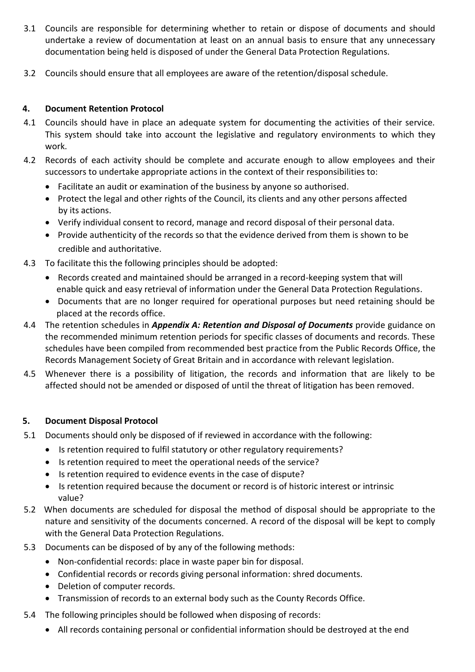- 3.1 Councils are responsible for determining whether to retain or dispose of documents and should undertake a review of documentation at least on an annual basis to ensure that any unnecessary documentation being held is disposed of under the General Data Protection Regulations.
- 3.2 Councils should ensure that all employees are aware of the retention/disposal schedule.

#### **4. Document Retention Protocol**

- 4.1 Councils should have in place an adequate system for documenting the activities of their service. This system should take into account the legislative and regulatory environments to which they work.
- 4.2 Records of each activity should be complete and accurate enough to allow employees and their successors to undertake appropriate actions in the context of their responsibilities to:
	- Facilitate an audit or examination of the business by anyone so authorised.
	- Protect the legal and other rights of the Council, its clients and any other persons affected by its actions.
	- Verify individual consent to record, manage and record disposal of their personal data.
	- Provide authenticity of the records so that the evidence derived from them is shown to be credible and authoritative.
- 4.3 To facilitate this the following principles should be adopted:
	- Records created and maintained should be arranged in a record-keeping system that will enable quick and easy retrieval of information under the General Data Protection Regulations.
	- Documents that are no longer required for operational purposes but need retaining should be placed at the records office.
- 4.4 The retention schedules in *Appendix A: Retention and Disposal of Documents* provide guidance on the recommended minimum retention periods for specific classes of documents and records. These schedules have been compiled from recommended best practice from the Public Records Office, the Records Management Society of Great Britain and in accordance with relevant legislation.
- 4.5 Whenever there is a possibility of litigation, the records and information that are likely to be affected should not be amended or disposed of until the threat of litigation has been removed.

#### **5. Document Disposal Protocol**

- 5.1 Documents should only be disposed of if reviewed in accordance with the following:
	- Is retention required to fulfil statutory or other regulatory requirements?
	- Is retention required to meet the operational needs of the service?
	- Is retention required to evidence events in the case of dispute?
	- Is retention required because the document or record is of historic interest or intrinsic value?
- 5.2 When documents are scheduled for disposal the method of disposal should be appropriate to the nature and sensitivity of the documents concerned. A record of the disposal will be kept to comply with the General Data Protection Regulations.
- 5.3 Documents can be disposed of by any of the following methods:
	- Non-confidential records: place in waste paper bin for disposal.
	- Confidential records or records giving personal information: shred documents.
	- Deletion of computer records.
	- Transmission of records to an external body such as the County Records Office.
- 5.4 The following principles should be followed when disposing of records:
	- All records containing personal or confidential information should be destroyed at the end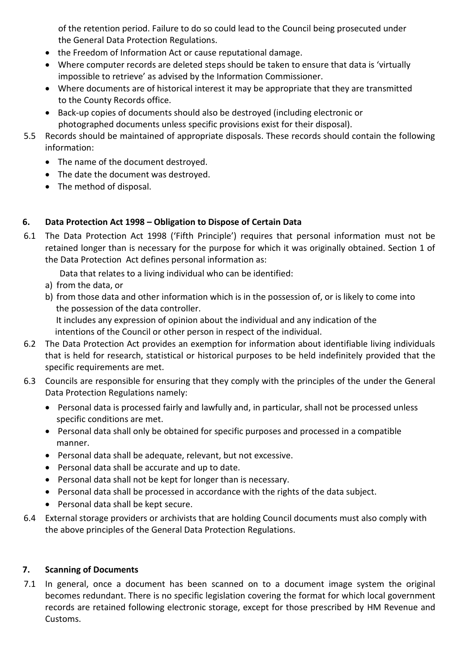of the retention period. Failure to do so could lead to the Council being prosecuted under the General Data Protection Regulations.

- the Freedom of Information Act or cause reputational damage.
- Where computer records are deleted steps should be taken to ensure that data is 'virtually impossible to retrieve' as advised by the Information Commissioner.
- Where documents are of historical interest it may be appropriate that they are transmitted to the County Records office.
- Back-up copies of documents should also be destroyed (including electronic or photographed documents unless specific provisions exist for their disposal).
- 5.5 Records should be maintained of appropriate disposals. These records should contain the following information:
	- The name of the document destroyed.
	- The date the document was destroyed.
	- The method of disposal.

#### **6. Data Protection Act 1998 – Obligation to Dispose of Certain Data**

6.1 The Data Protection Act 1998 ('Fifth Principle') requires that personal information must not be retained longer than is necessary for the purpose for which it was originally obtained. Section 1 of the Data Protection Act defines personal information as:

Data that relates to a living individual who can be identified:

- a) from the data, or
- b) from those data and other information which is in the possession of, or is likely to come into the possession of the data controller.

 It includes any expression of opinion about the individual and any indication of the intentions of the Council or other person in respect of the individual.

- 6.2 The Data Protection Act provides an exemption for information about identifiable living individuals that is held for research, statistical or historical purposes to be held indefinitely provided that the specific requirements are met.
- 6.3 Councils are responsible for ensuring that they comply with the principles of the under the General Data Protection Regulations namely:
	- Personal data is processed fairly and lawfully and, in particular, shall not be processed unless specific conditions are met.
	- Personal data shall only be obtained for specific purposes and processed in a compatible manner.
	- Personal data shall be adequate, relevant, but not excessive.
	- Personal data shall be accurate and up to date.
	- Personal data shall not be kept for longer than is necessary.
	- Personal data shall be processed in accordance with the rights of the data subject.
	- Personal data shall be kept secure.
- 6.4 External storage providers or archivists that are holding Council documents must also comply with the above principles of the General Data Protection Regulations.

#### **7. Scanning of Documents**

7.1 In general, once a document has been scanned on to a document image system the original becomes redundant. There is no specific legislation covering the format for which local government records are retained following electronic storage, except for those prescribed by HM Revenue and Customs.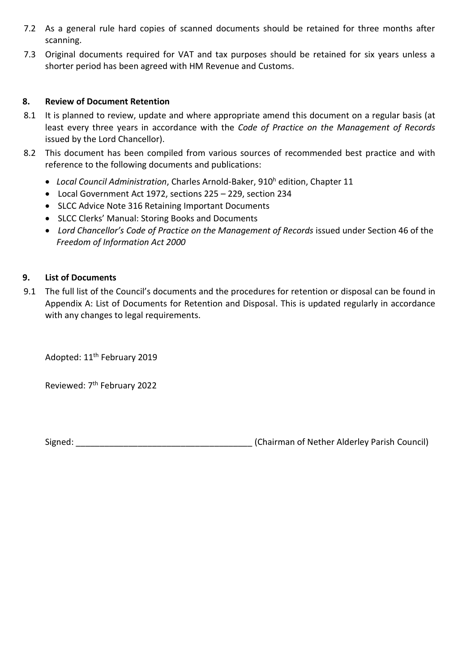- 7.2 As a general rule hard copies of scanned documents should be retained for three months after scanning.
- 7.3 Original documents required for VAT and tax purposes should be retained for six years unless a shorter period has been agreed with HM Revenue and Customs.

#### **8. Review of Document Retention**

- 8.1 It is planned to review, update and where appropriate amend this document on a regular basis (at least every three years in accordance with the *Code of Practice on the Management of Records*  issued by the Lord Chancellor).
- 8.2 This document has been compiled from various sources of recommended best practice and with reference to the following documents and publications:
	- *Local Council Administration*, Charles Arnold-Baker, 910<sup>h</sup> edition, Chapter 11
	- Local Government Act 1972, sections 225 229, section 234
	- SLCC Advice Note 316 Retaining Important Documents
	- SLCC Clerks' Manual: Storing Books and Documents
	- • *Lord Chancellor's Code of Practice on the Management of Records* issued under Section 46 of the *Freedom of Information Act 2000*

#### **9. List of Documents**

9.1 The full list of the Council's documents and the procedures for retention or disposal can be found in Appendix A: List of Documents for Retention and Disposal. This is updated regularly in accordance with any changes to legal requirements.

Adopted: 11th February 2019

Reviewed: 7<sup>th</sup> February 2022

Signed: Chairman of Nether Alderley Parish Council)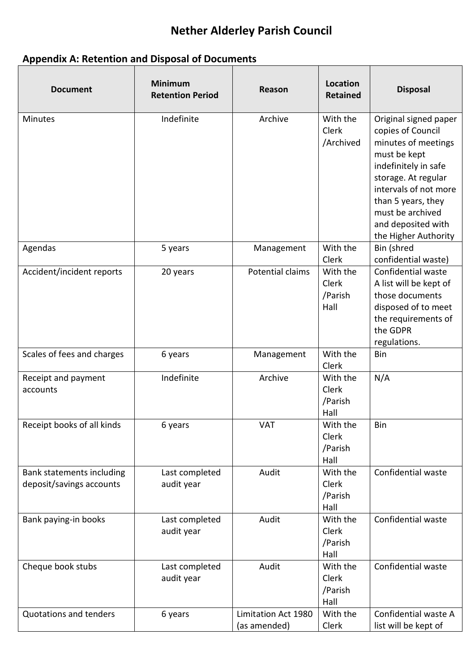# **Nether Alderley Parish Council**

## **Appendix A: Retention and Disposal of Documents**

| <b>Document</b>                                       | <b>Minimum</b><br><b>Retention Period</b> | Reason                              | <b>Location</b><br><b>Retained</b>   | <b>Disposal</b>                                                                                                                                                                                                                                   |
|-------------------------------------------------------|-------------------------------------------|-------------------------------------|--------------------------------------|---------------------------------------------------------------------------------------------------------------------------------------------------------------------------------------------------------------------------------------------------|
| <b>Minutes</b>                                        | Indefinite                                | Archive                             | With the<br>Clerk<br>/Archived       | Original signed paper<br>copies of Council<br>minutes of meetings<br>must be kept<br>indefinitely in safe<br>storage. At regular<br>intervals of not more<br>than 5 years, they<br>must be archived<br>and deposited with<br>the Higher Authority |
| Agendas                                               | 5 years                                   | Management                          | With the<br>Clerk                    | Bin (shred<br>confidential waste)                                                                                                                                                                                                                 |
| Accident/incident reports                             | 20 years                                  | <b>Potential claims</b>             | With the<br>Clerk<br>/Parish<br>Hall | Confidential waste<br>A list will be kept of<br>those documents<br>disposed of to meet<br>the requirements of<br>the GDPR<br>regulations.                                                                                                         |
| Scales of fees and charges                            | 6 years                                   | Management                          | With the<br>Clerk                    | Bin                                                                                                                                                                                                                                               |
| Receipt and payment<br>accounts                       | Indefinite                                | Archive                             | With the<br>Clerk<br>/Parish<br>Hall | N/A                                                                                                                                                                                                                                               |
| Receipt books of all kinds                            | 6 years                                   | <b>VAT</b>                          | With the<br>Clerk<br>/Parish<br>Hall | Bin                                                                                                                                                                                                                                               |
| Bank statements including<br>deposit/savings accounts | Last completed<br>audit year              | Audit                               | With the<br>Clerk<br>/Parish<br>Hall | Confidential waste                                                                                                                                                                                                                                |
| Bank paying-in books                                  | Last completed<br>audit year              | Audit                               | With the<br>Clerk<br>/Parish<br>Hall | Confidential waste                                                                                                                                                                                                                                |
| Cheque book stubs                                     | Last completed<br>audit year              | Audit                               | With the<br>Clerk<br>/Parish<br>Hall | Confidential waste                                                                                                                                                                                                                                |
| Quotations and tenders                                | 6 years                                   | Limitation Act 1980<br>(as amended) | With the<br>Clerk                    | Confidential waste A<br>list will be kept of                                                                                                                                                                                                      |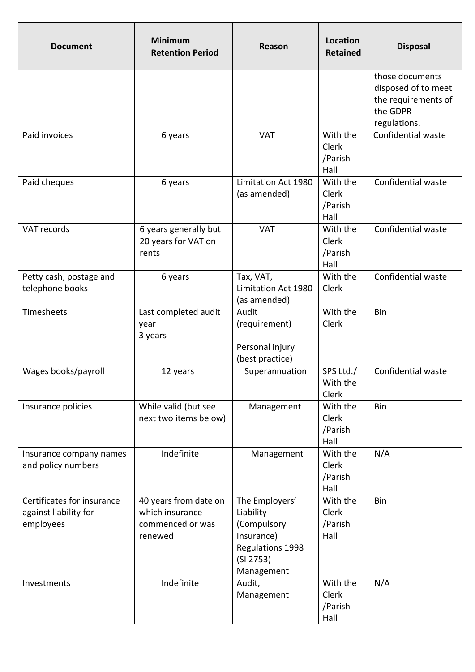| <b>Document</b>                                                  | <b>Minimum</b><br>Reason<br><b>Retention Period</b>                     |                                                                                                         | <b>Location</b><br><b>Retained</b>          | <b>Disposal</b>                                                                           |
|------------------------------------------------------------------|-------------------------------------------------------------------------|---------------------------------------------------------------------------------------------------------|---------------------------------------------|-------------------------------------------------------------------------------------------|
|                                                                  |                                                                         |                                                                                                         |                                             | those documents<br>disposed of to meet<br>the requirements of<br>the GDPR<br>regulations. |
| Paid invoices                                                    | 6 years                                                                 | <b>VAT</b>                                                                                              | With the<br>Clerk<br>/Parish<br>Hall        | Confidential waste                                                                        |
| Paid cheques                                                     | 6 years                                                                 | Limitation Act 1980<br>(as amended)                                                                     | With the<br>Clerk<br>/Parish<br>Hall        | Confidential waste                                                                        |
| VAT records                                                      | 6 years generally but<br>20 years for VAT on<br>rents                   | <b>VAT</b>                                                                                              | With the<br>Clerk<br>/Parish<br>Hall        | Confidential waste                                                                        |
| Petty cash, postage and<br>telephone books                       | 6 years                                                                 | Tax, VAT,<br>Limitation Act 1980<br>(as amended)                                                        | With the<br>Clerk                           | Confidential waste                                                                        |
| Timesheets                                                       | Last completed audit<br>year<br>3 years                                 | Audit<br>(requirement)<br>Personal injury<br>(best practice)                                            | With the<br>Clerk                           | Bin                                                                                       |
| Wages books/payroll                                              | 12 years                                                                | Superannuation                                                                                          | SPS Ltd./<br>With the<br>Clerk              | Confidential waste                                                                        |
| Insurance policies                                               | While valid (but see<br>next two items below)                           | Management                                                                                              | With the<br>Clerk<br>/Parish<br>Hall        | <b>Bin</b>                                                                                |
| Insurance company names<br>and policy numbers                    | Indefinite                                                              | Management                                                                                              | With the<br>Clerk<br>/Parish<br>Hall        | N/A                                                                                       |
| Certificates for insurance<br>against liability for<br>employees | 40 years from date on<br>which insurance<br>commenced or was<br>renewed | The Employers'<br>Liability<br>(Compulsory<br>Insurance)<br>Regulations 1998<br>(SI 2753)<br>Management | With the<br><b>Clerk</b><br>/Parish<br>Hall | Bin                                                                                       |
| Investments                                                      | Indefinite                                                              | Audit,<br>Management                                                                                    | With the<br>Clerk<br>/Parish<br>Hall        | N/A                                                                                       |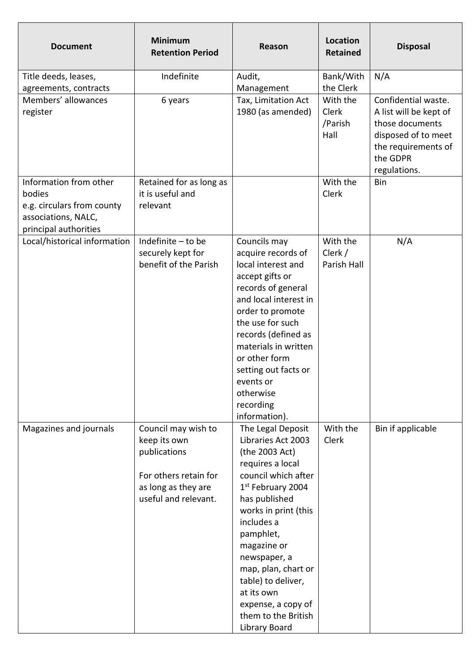| <b>Document</b>                                                                                                | <b>Minimum</b><br><b>Retention Period</b>                                                                                   | Reason                                                                                                                                                                                                                                                                                                                                                            | <b>Location</b><br><b>Retained</b>   | <b>Disposal</b>                                                                                                                            |
|----------------------------------------------------------------------------------------------------------------|-----------------------------------------------------------------------------------------------------------------------------|-------------------------------------------------------------------------------------------------------------------------------------------------------------------------------------------------------------------------------------------------------------------------------------------------------------------------------------------------------------------|--------------------------------------|--------------------------------------------------------------------------------------------------------------------------------------------|
| Title deeds, leases,<br>agreements, contracts                                                                  | Indefinite                                                                                                                  | Audit,<br>Management                                                                                                                                                                                                                                                                                                                                              | Bank/With<br>the Clerk               | N/A                                                                                                                                        |
| Members' allowances<br>register                                                                                | 6 years                                                                                                                     | Tax, Limitation Act<br>1980 (as amended)                                                                                                                                                                                                                                                                                                                          | With the<br>Clerk<br>/Parish<br>Hall | Confidential waste.<br>A list will be kept of<br>those documents<br>disposed of to meet<br>the requirements of<br>the GDPR<br>regulations. |
| Information from other<br>bodies<br>e.g. circulars from county<br>associations, NALC,<br>principal authorities | Retained for as long as<br>it is useful and<br>relevant                                                                     |                                                                                                                                                                                                                                                                                                                                                                   | With the<br>Clerk                    | Bin                                                                                                                                        |
| Local/historical information                                                                                   | Indefinite $-$ to be<br>securely kept for<br>benefit of the Parish                                                          | Councils may<br>acquire records of<br>local interest and<br>accept gifts or<br>records of general<br>and local interest in<br>order to promote<br>the use for such<br>records (defined as<br>materials in written<br>or other form<br>setting out facts or<br>events or<br>otherwise<br>recording<br>information).                                                | With the<br>Clerk /<br>Parish Hall   | N/A                                                                                                                                        |
| Magazines and journals                                                                                         | Council may wish to<br>keep its own<br>publications<br>For others retain for<br>as long as they are<br>useful and relevant. | The Legal Deposit<br>Libraries Act 2003<br>(the 2003 Act)<br>requires a local<br>council which after<br>1 <sup>st</sup> February 2004<br>has published<br>works in print (this<br>includes a<br>pamphlet,<br>magazine or<br>newspaper, a<br>map, plan, chart or<br>table) to deliver,<br>at its own<br>expense, a copy of<br>them to the British<br>Library Board | With the<br>Clerk                    | Bin if applicable                                                                                                                          |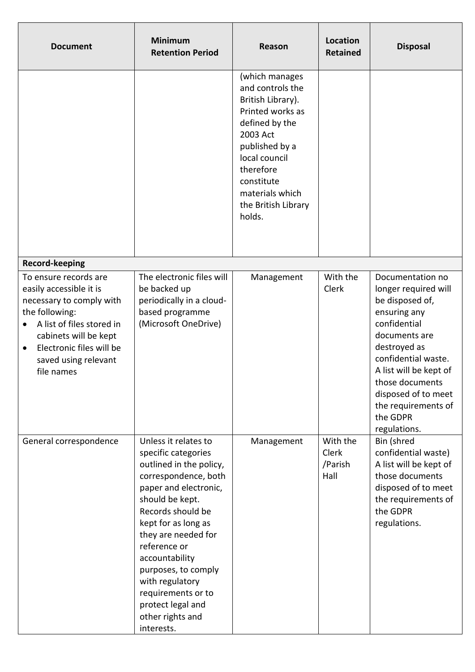| <b>Document</b>                                                                                                                                                                                                                                  | <b>Minimum</b><br>Reason<br><b>Retention Period</b>                                                                                                                                                                                                                                                                                                                    |                                                                                                                                                                                                                             | <b>Location</b><br><b>Retained</b>   | <b>Disposal</b>                                                                                                                                                                                                                                                            |
|--------------------------------------------------------------------------------------------------------------------------------------------------------------------------------------------------------------------------------------------------|------------------------------------------------------------------------------------------------------------------------------------------------------------------------------------------------------------------------------------------------------------------------------------------------------------------------------------------------------------------------|-----------------------------------------------------------------------------------------------------------------------------------------------------------------------------------------------------------------------------|--------------------------------------|----------------------------------------------------------------------------------------------------------------------------------------------------------------------------------------------------------------------------------------------------------------------------|
|                                                                                                                                                                                                                                                  |                                                                                                                                                                                                                                                                                                                                                                        | (which manages<br>and controls the<br>British Library).<br>Printed works as<br>defined by the<br>2003 Act<br>published by a<br>local council<br>therefore<br>constitute<br>materials which<br>the British Library<br>holds. |                                      |                                                                                                                                                                                                                                                                            |
| <b>Record-keeping</b>                                                                                                                                                                                                                            |                                                                                                                                                                                                                                                                                                                                                                        |                                                                                                                                                                                                                             |                                      |                                                                                                                                                                                                                                                                            |
| To ensure records are<br>easily accessible it is<br>necessary to comply with<br>the following:<br>A list of files stored in<br>$\bullet$<br>cabinets will be kept<br>Electronic files will be<br>$\bullet$<br>saved using relevant<br>file names | The electronic files will<br>be backed up<br>periodically in a cloud-<br>based programme<br>(Microsoft OneDrive)                                                                                                                                                                                                                                                       | Management                                                                                                                                                                                                                  | With the<br>Clerk                    | Documentation no<br>longer required will<br>be disposed of,<br>ensuring any<br>confidential<br>documents are<br>destroyed as<br>confidential waste.<br>A list will be kept of<br>those documents<br>disposed of to meet<br>the requirements of<br>the GDPR<br>regulations. |
| General correspondence                                                                                                                                                                                                                           | Unless it relates to<br>specific categories<br>outlined in the policy,<br>correspondence, both<br>paper and electronic,<br>should be kept.<br>Records should be<br>kept for as long as<br>they are needed for<br>reference or<br>accountability<br>purposes, to comply<br>with regulatory<br>requirements or to<br>protect legal and<br>other rights and<br>interests. | Management                                                                                                                                                                                                                  | With the<br>Clerk<br>/Parish<br>Hall | Bin (shred<br>confidential waste)<br>A list will be kept of<br>those documents<br>disposed of to meet<br>the requirements of<br>the GDPR<br>regulations.                                                                                                                   |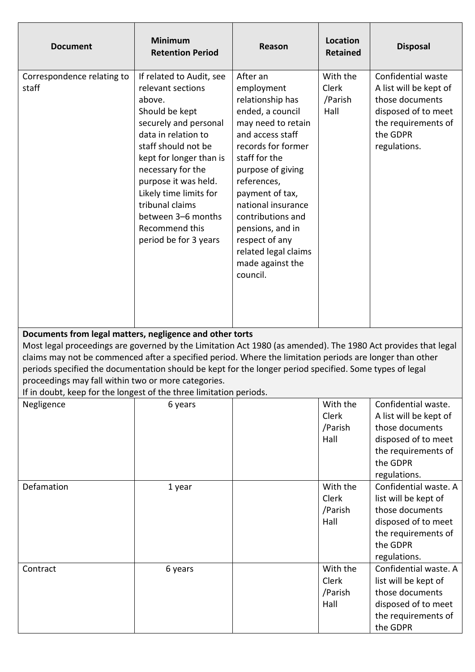| <b>Document</b>                                                                                               | <b>Minimum</b><br><b>Retention Period</b>                                                                                                                                                                                                                                                                                              | Reason                                                                                                                                                                                                                                                                                                                                          | <b>Location</b><br><b>Retained</b>   | <b>Disposal</b>                                                                                                                            |
|---------------------------------------------------------------------------------------------------------------|----------------------------------------------------------------------------------------------------------------------------------------------------------------------------------------------------------------------------------------------------------------------------------------------------------------------------------------|-------------------------------------------------------------------------------------------------------------------------------------------------------------------------------------------------------------------------------------------------------------------------------------------------------------------------------------------------|--------------------------------------|--------------------------------------------------------------------------------------------------------------------------------------------|
| Correspondence relating to<br>staff                                                                           | If related to Audit, see<br>relevant sections<br>above.<br>Should be kept<br>securely and personal<br>data in relation to<br>staff should not be<br>kept for longer than is<br>necessary for the<br>purpose it was held.<br>Likely time limits for<br>tribunal claims<br>between 3-6 months<br>Recommend this<br>period be for 3 years | After an<br>employment<br>relationship has<br>ended, a council<br>may need to retain<br>and access staff<br>records for former<br>staff for the<br>purpose of giving<br>references,<br>payment of tax,<br>national insurance<br>contributions and<br>pensions, and in<br>respect of any<br>related legal claims<br>made against the<br>council. | With the<br>Clerk<br>/Parish<br>Hall | Confidential waste<br>A list will be kept of<br>those documents<br>disposed of to meet<br>the requirements of<br>the GDPR<br>regulations.  |
| Documents from legal matters, negligence and other torts                                                      |                                                                                                                                                                                                                                                                                                                                        |                                                                                                                                                                                                                                                                                                                                                 |                                      |                                                                                                                                            |
| Most legal proceedings are governed by the Limitation Act 1980 (as amended). The 1980 Act provides that legal |                                                                                                                                                                                                                                                                                                                                        |                                                                                                                                                                                                                                                                                                                                                 |                                      |                                                                                                                                            |
| claims may not be commenced after a specified period. Where the limitation periods are longer than other      |                                                                                                                                                                                                                                                                                                                                        |                                                                                                                                                                                                                                                                                                                                                 |                                      |                                                                                                                                            |
| periods specified the documentation should be kept for the longer period specified. Some types of legal       |                                                                                                                                                                                                                                                                                                                                        |                                                                                                                                                                                                                                                                                                                                                 |                                      |                                                                                                                                            |
| proceedings may fall within two or more categories.                                                           |                                                                                                                                                                                                                                                                                                                                        |                                                                                                                                                                                                                                                                                                                                                 |                                      |                                                                                                                                            |
| If in doubt, keep for the longest of the three limitation periods.                                            |                                                                                                                                                                                                                                                                                                                                        |                                                                                                                                                                                                                                                                                                                                                 |                                      |                                                                                                                                            |
| Negligence                                                                                                    | 6 years                                                                                                                                                                                                                                                                                                                                |                                                                                                                                                                                                                                                                                                                                                 | With the<br>Clerk<br>/Parish<br>Hall | Confidential waste.<br>A list will be kept of<br>those documents<br>disposed of to meet<br>the requirements of<br>the GDPR<br>regulations. |
| Defamation                                                                                                    | 1 year                                                                                                                                                                                                                                                                                                                                 |                                                                                                                                                                                                                                                                                                                                                 | With the<br>Clerk<br>/Parish<br>Hall | Confidential waste. A<br>list will be kept of<br>those documents<br>disposed of to meet<br>the requirements of<br>the GDPR<br>regulations. |

Contract 6 years 6 years With the

Clerk /Parish Hall

Confidential waste. A list will be kept of those documents disposed of to meet the requirements of

the GDPR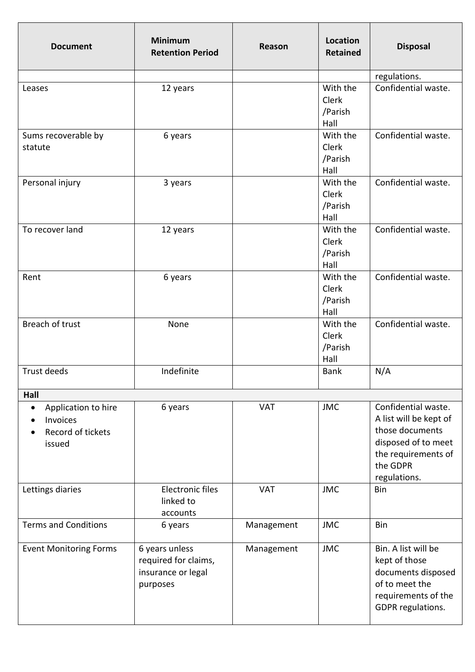| <b>Document</b>                                                             | <b>Minimum</b><br>Reason<br><b>Retention Period</b>                      |            | Location<br><b>Retained</b>          | <b>Disposal</b>                                                                                                                            |
|-----------------------------------------------------------------------------|--------------------------------------------------------------------------|------------|--------------------------------------|--------------------------------------------------------------------------------------------------------------------------------------------|
|                                                                             |                                                                          |            |                                      | regulations.                                                                                                                               |
| Leases                                                                      | 12 years                                                                 |            | With the<br>Clerk<br>/Parish<br>Hall | Confidential waste.                                                                                                                        |
| Sums recoverable by<br>statute                                              | 6 years                                                                  |            | With the<br>Clerk<br>/Parish<br>Hall | Confidential waste.                                                                                                                        |
| Personal injury                                                             | 3 years                                                                  |            | With the<br>Clerk<br>/Parish<br>Hall | Confidential waste.                                                                                                                        |
| To recover land                                                             | 12 years                                                                 |            | With the<br>Clerk<br>/Parish<br>Hall | Confidential waste.                                                                                                                        |
| Rent                                                                        | 6 years                                                                  |            | With the<br>Clerk<br>/Parish<br>Hall | Confidential waste.                                                                                                                        |
| Breach of trust                                                             | None                                                                     |            | With the<br>Clerk<br>/Parish<br>Hall | Confidential waste.                                                                                                                        |
| Trust deeds                                                                 | Indefinite                                                               |            | <b>Bank</b>                          | N/A                                                                                                                                        |
| Hall                                                                        |                                                                          |            |                                      |                                                                                                                                            |
| Application to hire<br>$\bullet$<br>Invoices<br>Record of tickets<br>issued | 6 years                                                                  | <b>VAT</b> | <b>JMC</b>                           | Confidential waste.<br>A list will be kept of<br>those documents<br>disposed of to meet<br>the requirements of<br>the GDPR<br>regulations. |
| Lettings diaries                                                            | <b>Electronic files</b><br>linked to<br>accounts                         | <b>VAT</b> | <b>JMC</b>                           | Bin                                                                                                                                        |
| <b>Terms and Conditions</b>                                                 | 6 years                                                                  | Management | <b>JMC</b>                           | Bin                                                                                                                                        |
| <b>Event Monitoring Forms</b>                                               | 6 years unless<br>required for claims,<br>insurance or legal<br>purposes | Management | <b>JMC</b>                           | Bin. A list will be<br>kept of those<br>documents disposed<br>of to meet the<br>requirements of the<br>GDPR regulations.                   |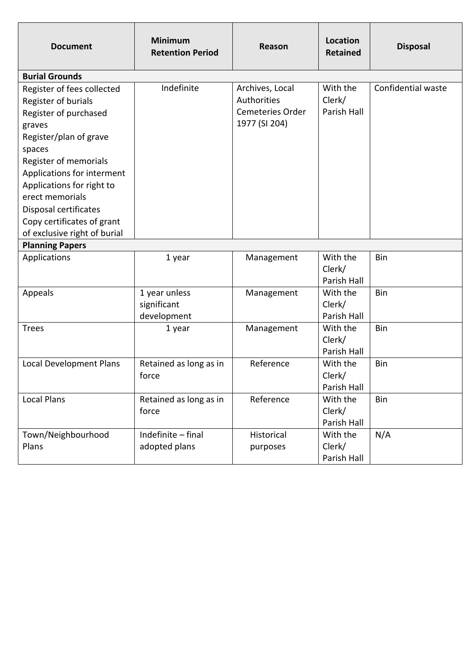| <b>Minimum</b><br><b>Document</b><br><b>Retention Period</b>                                                                                                                                                                                                                                                           |                                             | Reason                                                              | <b>Location</b><br><b>Retained</b> | <b>Disposal</b>    |
|------------------------------------------------------------------------------------------------------------------------------------------------------------------------------------------------------------------------------------------------------------------------------------------------------------------------|---------------------------------------------|---------------------------------------------------------------------|------------------------------------|--------------------|
| <b>Burial Grounds</b>                                                                                                                                                                                                                                                                                                  |                                             |                                                                     |                                    |                    |
| Register of fees collected<br>Register of burials<br>Register of purchased<br>graves<br>Register/plan of grave<br>spaces<br>Register of memorials<br>Applications for interment<br>Applications for right to<br>erect memorials<br>Disposal certificates<br>Copy certificates of grant<br>of exclusive right of burial | Indefinite                                  | Archives, Local<br>Authorities<br>Cemeteries Order<br>1977 (SI 204) | With the<br>Clerk/<br>Parish Hall  | Confidential waste |
| <b>Planning Papers</b>                                                                                                                                                                                                                                                                                                 |                                             |                                                                     |                                    |                    |
| Applications                                                                                                                                                                                                                                                                                                           | 1 year                                      | Management                                                          | With the<br>Clerk/<br>Parish Hall  | Bin                |
| Appeals                                                                                                                                                                                                                                                                                                                | 1 year unless<br>significant<br>development | Management                                                          | With the<br>Clerk/<br>Parish Hall  | <b>Bin</b>         |
| <b>Trees</b>                                                                                                                                                                                                                                                                                                           | 1 year                                      | Management                                                          | With the<br>Clerk/<br>Parish Hall  | Bin                |
| Local Development Plans                                                                                                                                                                                                                                                                                                | Retained as long as in<br>force             | Reference                                                           | With the<br>Clerk/<br>Parish Hall  | Bin                |
| <b>Local Plans</b>                                                                                                                                                                                                                                                                                                     | Retained as long as in<br>force             | Reference                                                           | With the<br>Clerk/<br>Parish Hall  | Bin                |
| Town/Neighbourhood<br>Plans                                                                                                                                                                                                                                                                                            | Indefinite - final<br>adopted plans         | Historical<br>purposes                                              | With the<br>Clerk/<br>Parish Hall  | N/A                |